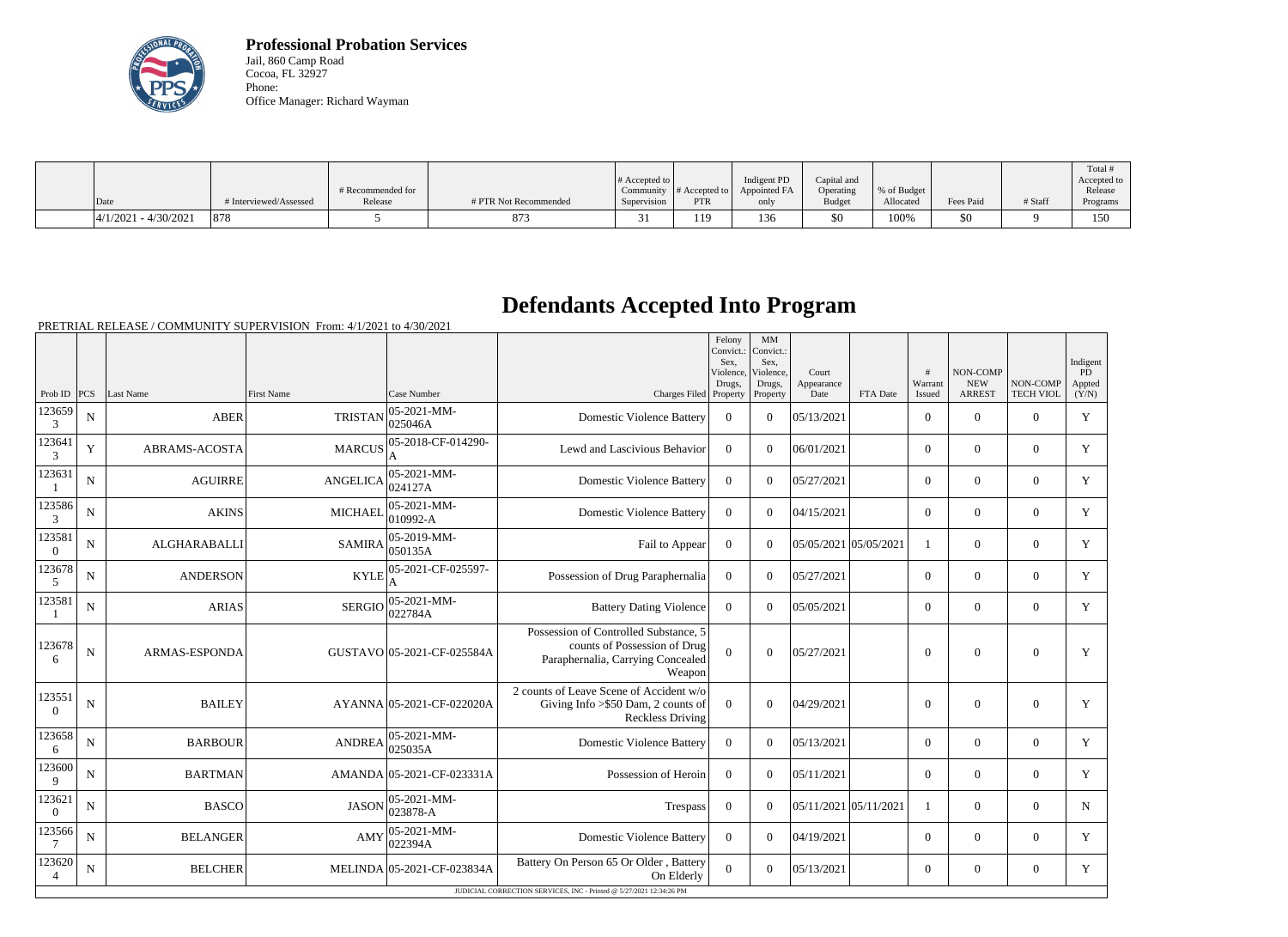

**Professional Probation Services** Jail, 860 Camp Road Cocoa, FL 32927 Phone: Office Manager: Richard Wayman

|                         |                        |                   |                       |                       |               |              |               |             |           |         | Total #     |
|-------------------------|------------------------|-------------------|-----------------------|-----------------------|---------------|--------------|---------------|-------------|-----------|---------|-------------|
|                         |                        |                   |                       | # Accepted to $\vert$ |               | Indigent PD  | Capital and   |             |           |         | Accepted to |
|                         |                        | # Recommended for |                       | Community             | # Accepted to | Appointed FA | Operating     | % of Budget |           |         | Release     |
| Date                    | # Interviewed/Assessed | Release           | # PTR Not Recommended | Supervision           | <b>PTR</b>    | only         | <b>Budget</b> | Allocated   | Fees Paid | # Staff | Programs    |
| $ 4/1/2021 - 4/30/2021$ | 878                    |                   | 873                   |                       | 119           | 136          | \$0           | 100%        | \$0       |         | 150         |

# **Defendants Accepted Into Program**

|                          |             |                      |                   |                                    |                                                                                                                      | Felony<br>Convict.:<br>Sex.<br>Violence, | MM<br>Convict.:<br>Sex.<br>Violence, | Court                 |          | #                 | NON-COMP                    |                              | Indigent<br>PD  |
|--------------------------|-------------|----------------------|-------------------|------------------------------------|----------------------------------------------------------------------------------------------------------------------|------------------------------------------|--------------------------------------|-----------------------|----------|-------------------|-----------------------------|------------------------------|-----------------|
| Prob ID $ PCS $          |             | Last Name            | <b>First Name</b> | Case Number                        | Charges Filed Property                                                                                               | Drugs,                                   | Drugs,<br>Property                   | Appearance<br>Date    | FTA Date | Warrant<br>Issued | <b>NEW</b><br><b>ARREST</b> | NON-COMP<br><b>TECH VIOL</b> | Appted<br>(Y/N) |
| 123659<br>3              | ${\bf N}$   | <b>ABER</b>          | <b>TRISTAN</b>    | 05-2021-MM-<br>025046A             | <b>Domestic Violence Battery</b>                                                                                     | $\mathbf{0}$                             | $\Omega$                             | 05/13/2021            |          | $\overline{0}$    | $\mathbf{0}$                | $\overline{0}$               | Y               |
| 123641<br>3              | Y           | <b>ABRAMS-ACOSTA</b> | <b>MARCUS</b>     | 05-2018-CF-014290-                 | Lewd and Lascivious Behavior                                                                                         | $\theta$                                 | $\Omega$                             | 06/01/2021            |          | $\Omega$          | $\theta$                    | $\Omega$                     | Y               |
| 123631                   | ${\bf N}$   | <b>AGUIRRE</b>       | <b>ANGELICA</b>   | $ 05 - 2021 - MM -$<br>024127A     | <b>Domestic Violence Battery</b>                                                                                     | $\Omega$                                 | $\Omega$                             | 05/27/2021            |          | $\Omega$          | $\theta$                    | $\Omega$                     | Y               |
| 123586<br>3              | $\mathbf N$ | <b>AKINS</b>         | <b>MICHAEL</b>    | $ 05 - 2021 - MM -$<br>$ 010992-A$ | <b>Domestic Violence Battery</b>                                                                                     | $\overline{0}$                           | $\Omega$                             | 04/15/2021            |          | $\overline{0}$    | $\theta$                    | $\overline{0}$               | Y               |
| 123581<br>$\Omega$       | $\mathbf N$ | ALGHARABALLI         | <b>SAMIRA</b>     | $ 05-2019-MM-$<br> 050135A         | Fail to Appear                                                                                                       | $\overline{0}$                           | $\Omega$                             | 05/05/2021 05/05/2021 |          | $\mathbf{1}$      | $\mathbf{0}$                | $\overline{0}$               | Y               |
| 123678<br>$\mathfrak{S}$ | $\mathbf N$ | <b>ANDERSON</b>      | <b>KYLE</b>       | 05-2021-CF-025597-                 | Possession of Drug Paraphernalia                                                                                     | $\mathbf{0}$                             | $\Omega$                             | 05/27/2021            |          | $\overline{0}$    | $\mathbf{0}$                | $\mathbf{0}$                 | Y               |
| 123581<br>-1             | ${\bf N}$   | <b>ARIAS</b>         | <b>SERGIO</b>     | $ 05 - 2021 - MM -$<br>022784A     | <b>Battery Dating Violence</b>                                                                                       | $\theta$                                 | $\Omega$                             | 05/05/2021            |          | $\overline{0}$    | $\theta$                    | $\Omega$                     | Y               |
| 123678<br>6              | ${\bf N}$   | ARMAS-ESPONDA        |                   | GUSTAVO 05-2021-CF-025584A         | Possession of Controlled Substance, 5<br>counts of Possession of Drug<br>Paraphernalia, Carrying Concealed<br>Weapon | $\Omega$                                 | $\Omega$                             | 05/27/2021            |          | $\theta$          | $\theta$                    | $\Omega$                     | Y               |
| 123551<br>$\overline{0}$ | ${\bf N}$   | <b>BAILEY</b>        |                   | AYANNA 05-2021-CF-022020A          | 2 counts of Leave Scene of Accident w/o<br>Giving Info $>\$ 50 Dam, 2 counts of<br><b>Reckless Driving</b>           | $\overline{0}$                           | $\Omega$                             | 04/29/2021            |          | $\Omega$          | $\theta$                    | $\overline{0}$               | Y               |
| 123658<br>6              | ${\bf N}$   | <b>BARBOUR</b>       | ANDREA            | $ 05 - 2021 - MM -$<br>025035A     | <b>Domestic Violence Battery</b>                                                                                     | $\mathbf{0}$                             | $\Omega$                             | 05/13/2021            |          | $\overline{0}$    | $\mathbf{0}$                | $\overline{0}$               | Y               |
| 123600<br>9              | ${\bf N}$   | <b>BARTMAN</b>       |                   | AMANDA 05-2021-CF-023331A          | Possession of Heroin                                                                                                 | $\overline{0}$                           | $\Omega$                             | 05/11/2021            |          | $\overline{0}$    | $\theta$                    | $\Omega$                     | $\mathbf Y$     |
| 123621<br>$\theta$       | $\mathbf N$ | <b>BASCO</b>         | <b>JASON</b>      | $ 05-2021-MM-$<br>023878-A         | Trespass                                                                                                             | $\boldsymbol{0}$                         | $\Omega$                             | 05/11/2021 05/11/2021 |          | $\mathbf{1}$      | $\theta$                    | $\overline{0}$               | N               |
| 123566<br>7              | N           | <b>BELANGER</b>      | AMY               | 05-2021-MM-<br> 022394A            | <b>Domestic Violence Battery</b>                                                                                     | $\theta$                                 | $\Omega$                             | 04/19/2021            |          | $\Omega$          | $\theta$                    | $\Omega$                     | Y               |
| 123620<br>$\overline{4}$ | $\mathbf N$ | <b>BELCHER</b>       |                   | MELINDA 05-2021-CF-023834A         | Battery On Person 65 Or Older, Battery<br>On Elderly                                                                 | $\overline{0}$                           | $\Omega$                             | 05/13/2021            |          | $\overline{0}$    | $\boldsymbol{0}$            | $\overline{0}$               | Y               |
|                          |             |                      |                   |                                    | JUDICIAL CORRECTION SERVICES, INC - Printed @ 5/27/2021 12:34:26 PM                                                  |                                          |                                      |                       |          |                   |                             |                              |                 |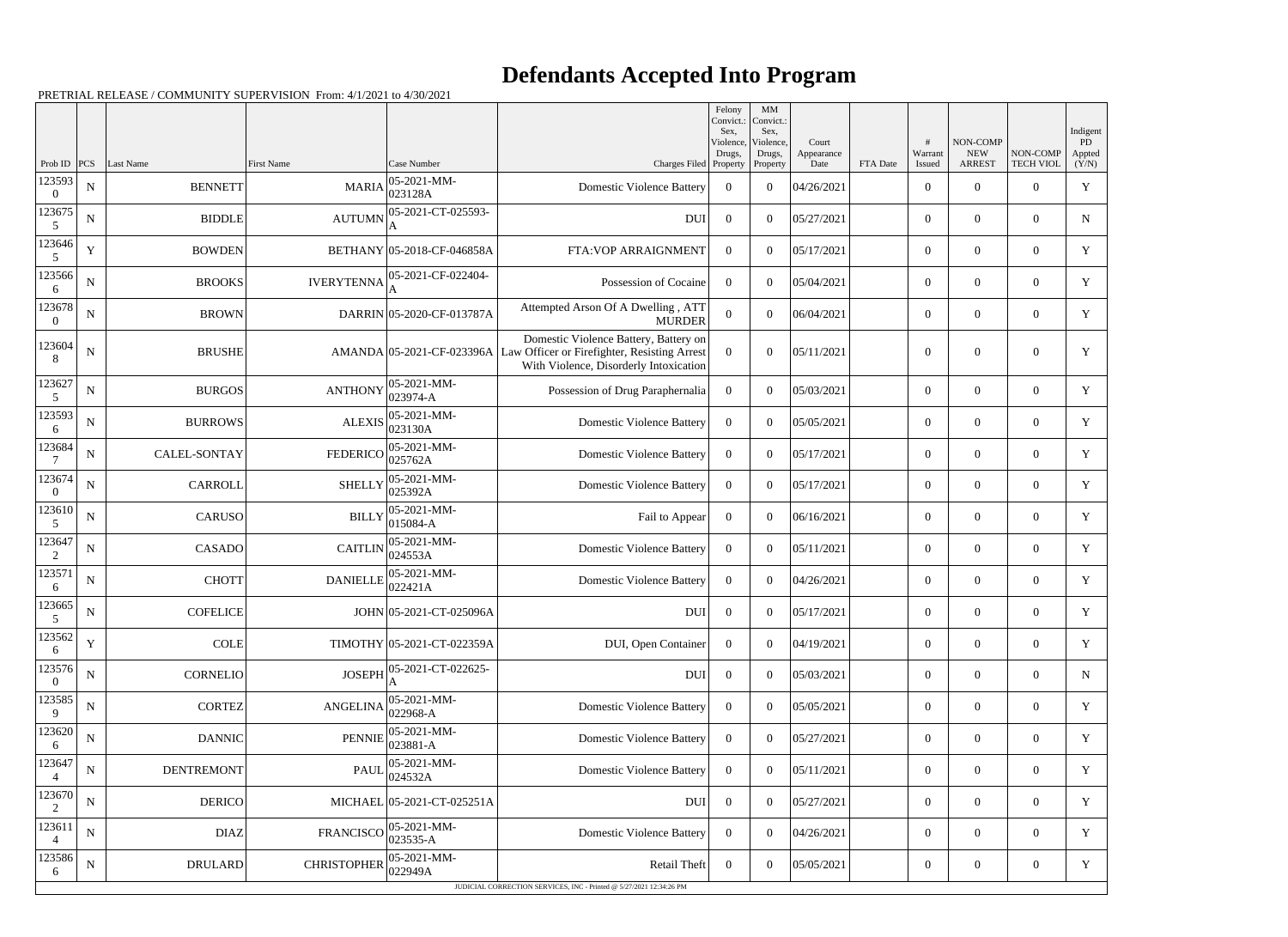|                          |             |                     |                    |                            |                                                                                                                                 | Felony<br>Convict.:<br>Sex. | MM<br>Convict.:<br>Sex,         |                             |          |                        |                                         |                              | Indigent               |
|--------------------------|-------------|---------------------|--------------------|----------------------------|---------------------------------------------------------------------------------------------------------------------------------|-----------------------------|---------------------------------|-----------------------------|----------|------------------------|-----------------------------------------|------------------------------|------------------------|
| Prob ID                  | PCS         | Last Name           | <b>First Name</b>  | Case Number                | Charges Filed Property                                                                                                          | Violence,<br>Drugs,         | Violence,<br>Drugs,<br>Property | Court<br>Appearance<br>Date | FTA Date | #<br>Warrant<br>Issued | NON-COMP<br><b>NEW</b><br><b>ARREST</b> | NON-COMP<br><b>TECH VIOL</b> | PD.<br>Appted<br>(Y/N) |
| 123593<br>$\Omega$       | ${\bf N}$   | <b>BENNETT</b>      | <b>MARIA</b>       | 05-2021-MM-<br>023128A     | <b>Domestic Violence Battery</b>                                                                                                | $\overline{0}$              | $\theta$                        | 04/26/2021                  |          | $\overline{0}$         | $\theta$                                | $\Omega$                     | Y                      |
| 123675<br>5              | ${\bf N}$   | <b>BIDDLE</b>       | <b>AUTUMN</b>      | 05-2021-CT-025593-         | <b>DUI</b>                                                                                                                      | $\overline{0}$              | $\theta$                        | 05/27/2021                  |          | $\overline{0}$         | $\overline{0}$                          | $\overline{0}$               | $\mathbf N$            |
| 123646<br>5              | $\mathbf Y$ | <b>BOWDEN</b>       |                    | BETHANY 05-2018-CF-046858A | FTA: VOP ARRAIGNMENT                                                                                                            | $\overline{0}$              | $\theta$                        | 05/17/2021                  |          | $\overline{0}$         | $\overline{0}$                          | $\theta$                     | Y                      |
| 123566<br>6              | ${\bf N}$   | <b>BROOKS</b>       | <b>IVERYTENNA</b>  | 05-2021-CF-022404-         | Possession of Cocaine                                                                                                           | $\Omega$                    | $\theta$                        | 05/04/2021                  |          | $\overline{0}$         | $\overline{0}$                          | $\Omega$                     | Y                      |
| 123678<br>$\Omega$       | ${\bf N}$   | <b>BROWN</b>        |                    | DARRIN 05-2020-CF-013787A  | Attempted Arson Of A Dwelling, ATT<br><b>MURDER</b>                                                                             | $\Omega$                    | $\theta$                        | 06/04/2021                  |          | $\overline{0}$         | $\theta$                                | $\Omega$                     | Y                      |
| 123604<br>8              | ${\bf N}$   | <b>BRUSHE</b>       |                    | AMANDA 05-2021-CF-023396A  | Domestic Violence Battery, Battery on<br>Law Officer or Firefighter, Resisting Arrest<br>With Violence, Disorderly Intoxication | $\theta$                    | $\theta$                        | 05/11/2021                  |          | $\overline{0}$         | $\overline{0}$                          | $\Omega$                     | Y                      |
| 123627<br>5              | ${\bf N}$   | <b>BURGOS</b>       | <b>ANTHONY</b>     | 05-2021-MM-<br>023974-A    | Possession of Drug Paraphernalia                                                                                                | $\overline{0}$              | $\theta$                        | 05/03/2021                  |          | $\overline{0}$         | $\overline{0}$                          | $\theta$                     | Y                      |
| 123593<br>6              | ${\bf N}$   | <b>BURROWS</b>      | <b>ALEXIS</b>      | 05-2021-MM-<br>023130A     | <b>Domestic Violence Battery</b>                                                                                                | $\Omega$                    | $\theta$                        | 05/05/2021                  |          | $\overline{0}$         | $\overline{0}$                          | $\overline{0}$               | Y                      |
| 123684                   | $\mathbf N$ | <b>CALEL-SONTAY</b> | <b>FEDERICO</b>    | 05-2021-MM-<br>025762A     | <b>Domestic Violence Battery</b>                                                                                                | $\overline{0}$              | $\theta$                        | 05/17/2021                  |          | $\overline{0}$         | $\overline{0}$                          | $\theta$                     | $\mathbf Y$            |
| 123674<br>$\Omega$       | ${\bf N}$   | CARROLL             | <b>SHELLY</b>      | 05-2021-MM-<br>025392A     | <b>Domestic Violence Battery</b>                                                                                                | $\Omega$                    | $\theta$                        | 05/17/2021                  |          | $\overline{0}$         | $\overline{0}$                          | $\Omega$                     | Y                      |
| 123610<br>5              | ${\bf N}$   | <b>CARUSO</b>       | <b>BILLY</b>       | 05-2021-MM-<br>015084-A    | Fail to Appear                                                                                                                  | $\overline{0}$              | $\theta$                        | 06/16/2021                  |          | $\overline{0}$         | $\overline{0}$                          | $\overline{0}$               | Y                      |
| 123647<br>2              | ${\bf N}$   | CASADO              | <b>CAITLIN</b>     | 05-2021-MM-<br>024553A     | <b>Domestic Violence Battery</b>                                                                                                | $\Omega$                    | $\theta$                        | 05/11/2021                  |          | $\overline{0}$         | $\overline{0}$                          | $\overline{0}$               | Y                      |
| 123571<br>6              | ${\bf N}$   | <b>CHOTT</b>        | <b>DANIELLE</b>    | 05-2021-MM-<br>022421A     | <b>Domestic Violence Battery</b>                                                                                                | $\overline{0}$              | $\theta$                        | 04/26/2021                  |          | $\overline{0}$         | $\overline{0}$                          | $\overline{0}$               | Y                      |
| 123665<br>5              | ${\bf N}$   | <b>COFELICE</b>     |                    | JOHN 05-2021-CT-025096A    | <b>DUI</b>                                                                                                                      | $\overline{0}$              | $\theta$                        | 05/17/2021                  |          | $\overline{0}$         | $\overline{0}$                          | $\overline{0}$               | Y                      |
| 123562<br>6              | $\mathbf Y$ | COLE                |                    | TIMOTHY 05-2021-CT-022359A | DUI, Open Container                                                                                                             | $\overline{0}$              | $\overline{0}$                  | 04/19/2021                  |          | $\boldsymbol{0}$       | $\overline{0}$                          | $\overline{0}$               | Y                      |
| 123576<br>$\Omega$       | ${\bf N}$   | <b>CORNELIO</b>     | <b>JOSEPH</b>      | 05-2021-CT-022625-         | <b>DUI</b>                                                                                                                      | $\overline{0}$              | $\overline{0}$                  | 05/03/2021                  |          | $\boldsymbol{0}$       | $\boldsymbol{0}$                        | $\overline{0}$               | N                      |
| 123585<br>9              | ${\bf N}$   | <b>CORTEZ</b>       | <b>ANGELINA</b>    | 05-2021-MM-<br>022968-A    | <b>Domestic Violence Battery</b>                                                                                                | $\overline{0}$              | $\overline{0}$                  | 05/05/2021                  |          | $\boldsymbol{0}$       | $\overline{0}$                          | $\overline{0}$               | Y                      |
| 123620<br>6              | ${\bf N}$   | DANNIC              | <b>PENNIE</b>      | 05-2021-MM-<br>023881-A    | <b>Domestic Violence Battery</b>                                                                                                | $\overline{0}$              | $\overline{0}$                  | 05/27/2021                  |          | $\boldsymbol{0}$       | $\boldsymbol{0}$                        | $\overline{0}$               | Y                      |
| 123647<br>4              | ${\bf N}$   | <b>DENTREMONT</b>   | <b>PAUL</b>        | 05-2021-MM-<br>024532A     | <b>Domestic Violence Battery</b>                                                                                                | $\overline{0}$              | $\theta$                        | 05/11/2021                  |          | $\boldsymbol{0}$       | $\overline{0}$                          | $\overline{0}$               | Y                      |
| 123670<br>2              | ${\bf N}$   | <b>DERICO</b>       |                    | MICHAEL 05-2021-CT-025251A | <b>DUI</b>                                                                                                                      | $\overline{0}$              | $\overline{0}$                  | 05/27/2021                  |          | $\boldsymbol{0}$       | $\boldsymbol{0}$                        | $\overline{0}$               | Y                      |
| 123611<br>$\overline{4}$ | ${\bf N}$   | <b>DIAZ</b>         | <b>FRANCISCO</b>   | 05-2021-MM-<br>023535-A    | <b>Domestic Violence Battery</b>                                                                                                | $\overline{0}$              | $\overline{0}$                  | 04/26/2021                  |          | $\boldsymbol{0}$       | $\boldsymbol{0}$                        | $\overline{0}$               | Y                      |
| 123586<br>6              | ${\bf N}$   | DRULARD             | <b>CHRISTOPHER</b> | 05-2021-MM-<br>022949A     | Retail Theft                                                                                                                    | $\overline{0}$              | $\overline{0}$                  | 05/05/2021                  |          | $\boldsymbol{0}$       | $\boldsymbol{0}$                        | $\boldsymbol{0}$             | Y                      |
|                          |             |                     |                    |                            | JUDICIAL CORRECTION SERVICES, INC - Printed @ 5/27/2021 12:34:26 PM                                                             |                             |                                 |                             |          |                        |                                         |                              |                        |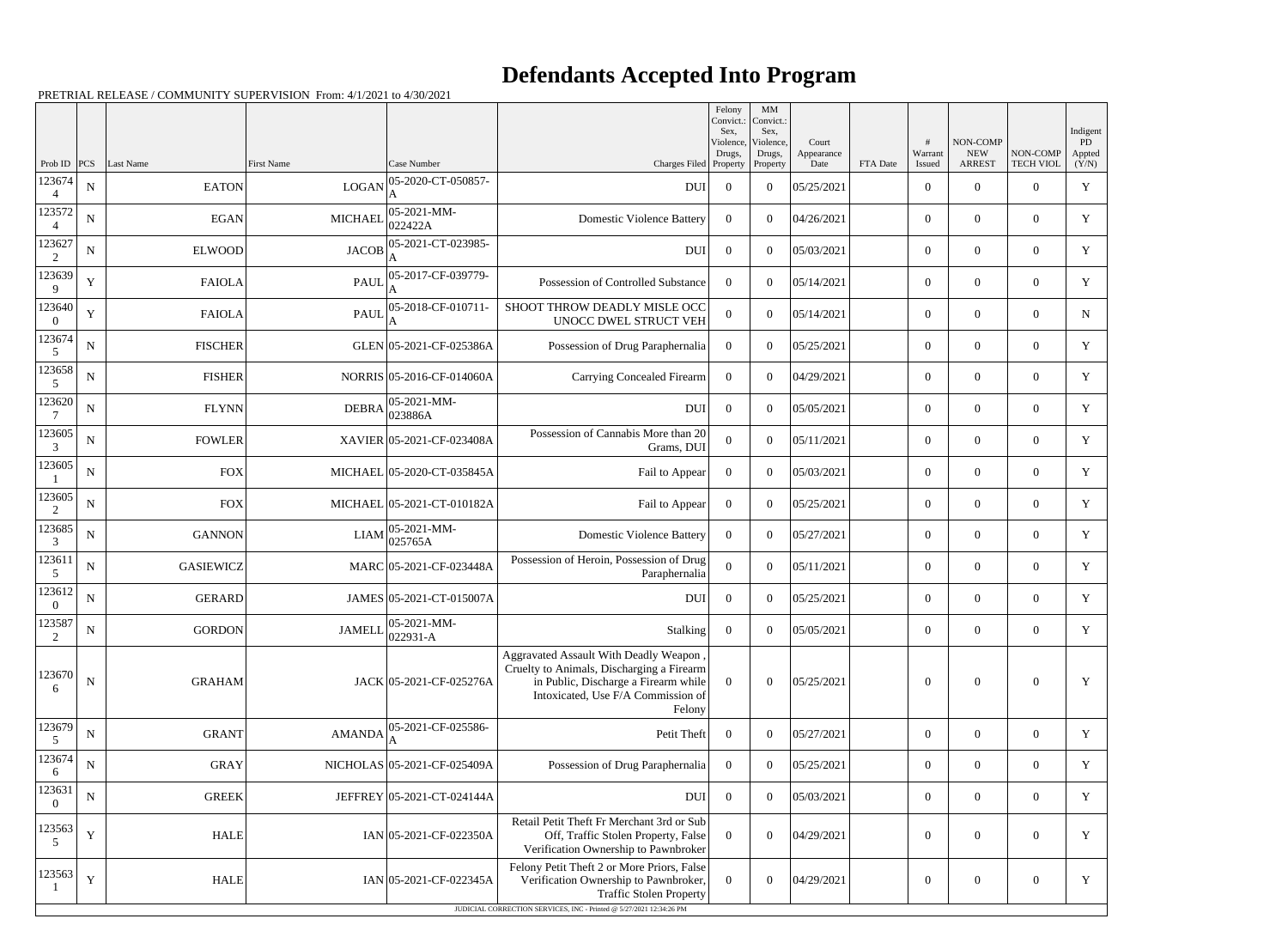|                          |             |                  |                   |                                                                          |                                                                                                                                                                             | Felony<br>Convict.:<br>Sex. | MM<br>Convict.:<br>Sex, |                     |          |                  |                        |                  | Indigent            |
|--------------------------|-------------|------------------|-------------------|--------------------------------------------------------------------------|-----------------------------------------------------------------------------------------------------------------------------------------------------------------------------|-----------------------------|-------------------------|---------------------|----------|------------------|------------------------|------------------|---------------------|
|                          |             |                  |                   |                                                                          |                                                                                                                                                                             | Violence,<br>Drugs,         | Violence,<br>Drugs,     | Court<br>Appearance |          | #<br>Warrant     | NON-COMP<br><b>NEW</b> | NON-COMP         | <b>PD</b><br>Appted |
| Prob ID<br>123674        | PCS         | Last Name        | <b>First Name</b> | Case Number<br>05-2020-CT-050857-                                        | Charges Filed Property                                                                                                                                                      |                             | Property                | Date                | FTA Date | Issued           | <b>ARREST</b>          | <b>TECH VIOL</b> | (Y/N)               |
| 4                        | ${\bf N}$   | <b>EATON</b>     | <b>LOGAN</b>      |                                                                          | <b>DUI</b>                                                                                                                                                                  | $\overline{0}$              | $\overline{0}$          | 05/25/2021          |          | $\overline{0}$   | $\theta$               | $\overline{0}$   | $\mathbf Y$         |
| 123572                   | ${\bf N}$   | EGAN             | <b>MICHAEL</b>    | 05-2021-MM-<br>022422A                                                   | <b>Domestic Violence Battery</b>                                                                                                                                            | $\Omega$                    | $\theta$                | 04/26/2021          |          | $\overline{0}$   | $\overline{0}$         | $\overline{0}$   | Y                   |
| 123627<br>2              | ${\bf N}$   | <b>ELWOOD</b>    | <b>JACOB</b>      | 05-2021-CT-023985-                                                       | <b>DUI</b>                                                                                                                                                                  | $\overline{0}$              | $\overline{0}$          | 05/03/2021          |          | $\overline{0}$   | $\overline{0}$         | $\overline{0}$   | Y                   |
| 123639<br>9              | $\mathbf Y$ | <b>FAIOLA</b>    | <b>PAUI</b>       | 05-2017-CF-039779-                                                       | Possession of Controlled Substance                                                                                                                                          | $\Omega$                    | $\theta$                | 05/14/2021          |          | $\overline{0}$   | $\overline{0}$         | $\overline{0}$   | Y                   |
| 123640<br>$\Omega$       | $\mathbf Y$ | <b>FAIOLA</b>    | <b>PAUL</b>       | 05-2018-CF-010711-                                                       | SHOOT THROW DEADLY MISLE OCC<br>UNOCC DWEL STRUCT VEH                                                                                                                       | $\theta$                    | $\theta$                | 05/14/2021          |          | $\overline{0}$   | $\theta$               | $\overline{0}$   | $\mathbf N$         |
| 123674<br>5              | ${\bf N}$   | <b>FISCHER</b>   |                   | GLEN 05-2021-CF-025386A                                                  | Possession of Drug Paraphernalia                                                                                                                                            | $\overline{0}$              | $\theta$                | 05/25/2021          |          | $\overline{0}$   | $\overline{0}$         | $\overline{0}$   | Y                   |
| 123658<br>5              | ${\bf N}$   | <b>FISHER</b>    |                   | NORRIS 05-2016-CF-014060A                                                | Carrying Concealed Firearm                                                                                                                                                  | $\overline{0}$              | $\overline{0}$          | 04/29/2021          |          | $\overline{0}$   | $\overline{0}$         | $\overline{0}$   | Y                   |
| 123620                   | ${\bf N}$   | <b>FLYNN</b>     | <b>DEBRA</b>      | 05-2021-MM-<br>023886A                                                   | <b>DUI</b>                                                                                                                                                                  | $\overline{0}$              | $\Omega$                | 05/05/2021          |          | $\overline{0}$   | $\overline{0}$         | $\overline{0}$   | Y                   |
| 123605<br>3              | $\mathbf N$ | <b>FOWLER</b>    |                   | XAVIER 05-2021-CF-023408A                                                | Possession of Cannabis More than 20<br>Grams, DUI                                                                                                                           | $\theta$                    | $\theta$                | 05/11/2021          |          | $\overline{0}$   | $\theta$               | $\overline{0}$   | Y                   |
| 123605                   | ${\bf N}$   | <b>FOX</b>       |                   | MICHAEL 05-2020-CT-035845A                                               | Fail to Appear                                                                                                                                                              | $\overline{0}$              | $\theta$                | 05/03/2021          |          | $\overline{0}$   | $\overline{0}$         | $\overline{0}$   | Y                   |
| 123605<br>$\overline{2}$ | ${\bf N}$   | <b>FOX</b>       |                   | MICHAEL 05-2021-CT-010182A                                               | Fail to Appear                                                                                                                                                              | $\overline{0}$              | $\overline{0}$          | 05/25/2021          |          | $\overline{0}$   | $\overline{0}$         | $\overline{0}$   | Y                   |
| 123685<br>3              | ${\bf N}$   | <b>GANNON</b>    | <b>LIAM</b>       | 05-2021-MM-<br>025765A                                                   | <b>Domestic Violence Battery</b>                                                                                                                                            | $\Omega$                    | $\Omega$                | 05/27/2021          |          | $\overline{0}$   | $\overline{0}$         | $\overline{0}$   | Y                   |
| 123611<br>5              | ${\bf N}$   | <b>GASIEWICZ</b> |                   | MARC 05-2021-CF-023448A                                                  | Possession of Heroin, Possession of Drug<br>Paraphernalia                                                                                                                   | $\theta$                    | $\theta$                | 05/11/2021          |          | $\overline{0}$   | $\theta$               | $\overline{0}$   | Y                   |
| 123612<br>$\theta$       | ${\bf N}$   | <b>GERARD</b>    |                   | JAMES 05-2021-CT-015007A                                                 | <b>DUI</b>                                                                                                                                                                  | $\theta$                    | $\theta$                | 05/25/2021          |          | $\overline{0}$   | $\overline{0}$         | $\overline{0}$   | Y                   |
| 123587<br>$\overline{2}$ | ${\bf N}$   | <b>GORDON</b>    |                   | JAMELL $\left  \frac{05 - 2021 - MM}{0.2221 - MM} \right $<br>$022931-A$ | Stalking                                                                                                                                                                    | $\overline{0}$              | $\boldsymbol{0}$        | 05/05/2021          |          | $\overline{0}$   | $\overline{0}$         | $\overline{0}$   | Y                   |
| 123670<br>6              | ${\bf N}$   | <b>GRAHAM</b>    |                   | JACK 05-2021-CF-025276A                                                  | Aggravated Assault With Deadly Weapon,<br>Cruelty to Animals, Discharging a Firearm<br>in Public, Discharge a Firearm while<br>Intoxicated, Use F/A Commission of<br>Felony | $\boldsymbol{0}$            | $\overline{0}$          | 05/25/2021          |          | $\overline{0}$   | $\theta$               | $\overline{0}$   | Y                   |
| 123679<br>5              | ${\bf N}$   | <b>GRANT</b>     | <b>AMANDA</b>     | 05-2021-CF-025586-                                                       | Petit Theft                                                                                                                                                                 | $\overline{0}$              | $\boldsymbol{0}$        | 05/27/2021          |          | $\mathbf{0}$     | $\overline{0}$         | $\overline{0}$   | Y                   |
| 123674<br>6              | ${\bf N}$   | <b>GRAY</b>      |                   | NICHOLAS 05-2021-CF-025409A                                              | Possession of Drug Paraphernalia                                                                                                                                            | $\overline{0}$              | $\boldsymbol{0}$        | 05/25/2021          |          | $\overline{0}$   | $\overline{0}$         | $\overline{0}$   | Y                   |
| 123631<br>$\theta$       | $\mathbf N$ | <b>GREEK</b>     |                   | JEFFREY 05-2021-CT-024144A                                               | <b>DUI</b>                                                                                                                                                                  | $\overline{0}$              | $\overline{0}$          | 05/03/2021          |          | $\overline{0}$   | $\overline{0}$         | $\overline{0}$   | Y                   |
| 123563<br>5              | $\mathbf Y$ | <b>HALE</b>      |                   | $IAN$ 05-2021-CF-022350A                                                 | Retail Petit Theft Fr Merchant 3rd or Sub<br>Off, Traffic Stolen Property, False<br>Verification Ownership to Pawnbroker                                                    | $\overline{0}$              | $\overline{0}$          | 04/29/2021          |          | $\boldsymbol{0}$ | $\overline{0}$         | $\overline{0}$   | Y                   |
| 123563                   | $\mathbf Y$ | <b>HALE</b>      |                   | $IAN$ 05-2021-CF-022345A                                                 | Felony Petit Theft 2 or More Priors, False<br>Verification Ownership to Pawnbroker,<br><b>Traffic Stolen Property</b>                                                       | $\overline{0}$              | $\boldsymbol{0}$        | 04/29/2021          |          | $\boldsymbol{0}$ | $\overline{0}$         | $\overline{0}$   | Y                   |
|                          |             |                  |                   |                                                                          | JUDICIAL CORRECTION SERVICES, INC - Printed @ 5/27/2021 12:34:26 PM                                                                                                         |                             |                         |                     |          |                  |                        |                  |                     |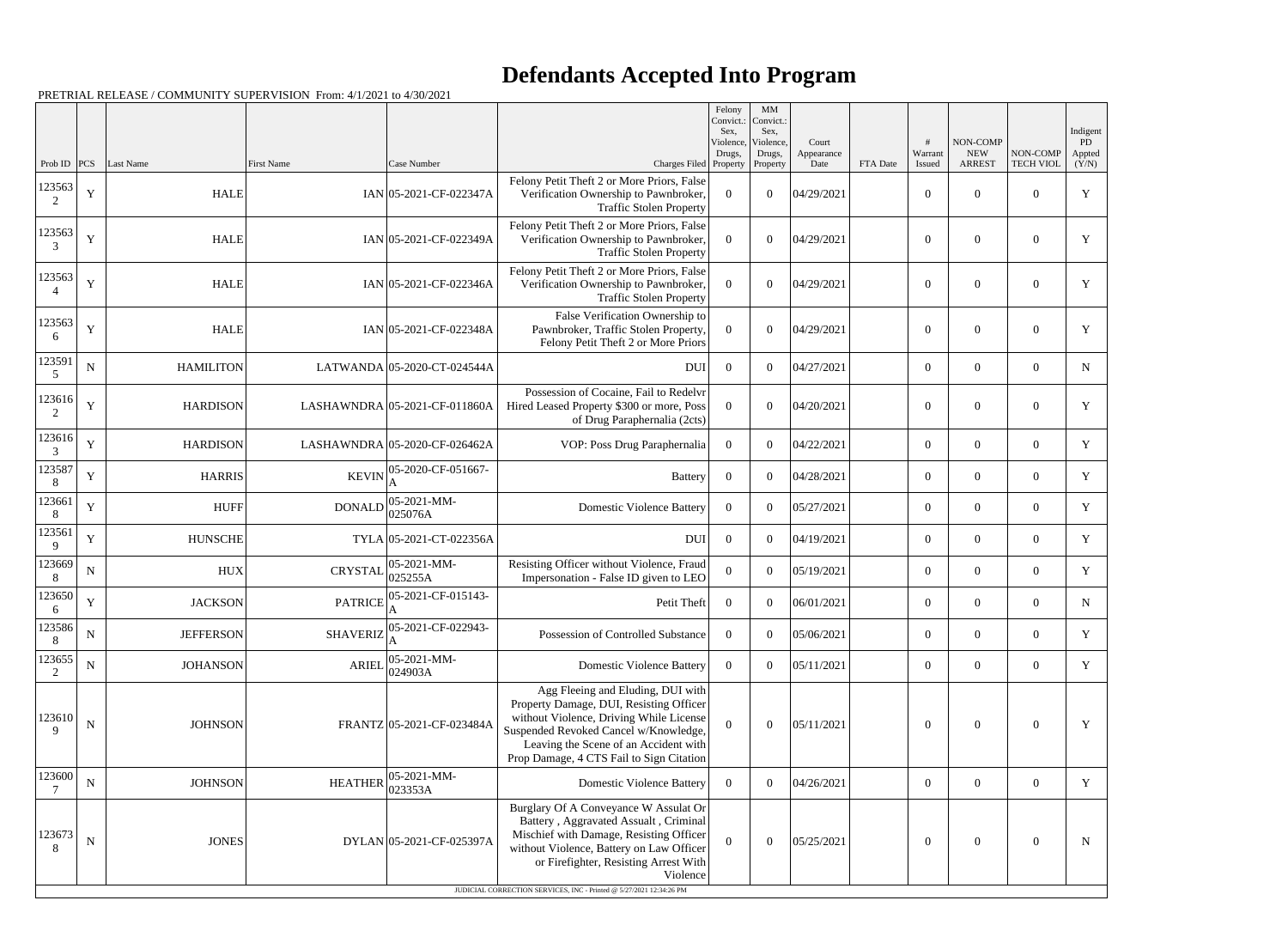|                        |             |                  |                   |                               |                                                                                                                                                                                                                                                                                                   | Felony<br>Convict.:<br>Sex. | $\mbox{MM}$<br>Convict.<br>Sex, |                             |          |                   |                                         |                              | Indigent              |
|------------------------|-------------|------------------|-------------------|-------------------------------|---------------------------------------------------------------------------------------------------------------------------------------------------------------------------------------------------------------------------------------------------------------------------------------------------|-----------------------------|---------------------------------|-----------------------------|----------|-------------------|-----------------------------------------|------------------------------|-----------------------|
| Prob ID                | PCS         | Last Name        | <b>First Name</b> | Case Number                   | Charges Filed Property                                                                                                                                                                                                                                                                            | Violence,<br>Drugs,         | Violence,<br>Drugs,<br>Property | Court<br>Appearance<br>Date | FTA Date | Warrant<br>Issued | NON-COMP<br><b>NEW</b><br><b>ARREST</b> | NON-COMP<br><b>TECH VIOL</b> | PD<br>Appted<br>(Y/N) |
| 123563<br>2            | $\mathbf Y$ | <b>HALE</b>      |                   | $IAN$ 05-2021-CF-022347A      | Felony Petit Theft 2 or More Priors, False<br>Verification Ownership to Pawnbroker,<br><b>Traffic Stolen Property</b>                                                                                                                                                                             | $\overline{0}$              | $\overline{0}$                  | 04/29/2021                  |          | $\boldsymbol{0}$  | $\mathbf{0}$                            | $\overline{0}$               | $\mathbf Y$           |
| 123563<br>3            | Y           | <b>HALE</b>      |                   | $IAN$ 05-2021-CF-022349A      | Felony Petit Theft 2 or More Priors, False<br>Verification Ownership to Pawnbroker,<br><b>Traffic Stolen Property</b>                                                                                                                                                                             | $\Omega$                    | $\overline{0}$                  | 04/29/2021                  |          | $\mathbf{0}$      | $\mathbf{0}$                            | $\overline{0}$               | Y                     |
| 123563                 | $\mathbf Y$ | <b>HALE</b>      |                   | $IAN$ 05-2021-CF-022346A      | Felony Petit Theft 2 or More Priors, False<br>Verification Ownership to Pawnbroker,<br><b>Traffic Stolen Property</b>                                                                                                                                                                             | $\theta$                    | $\theta$                        | 04/29/2021                  |          | $\mathbf{0}$      | $\overline{0}$                          | $\overline{0}$               | Y                     |
| 123563<br>6            | Y           | <b>HALE</b>      |                   | $IAN$ 05-2021-CF-022348A      | False Verification Ownership to<br>Pawnbroker, Traffic Stolen Property,<br>Felony Petit Theft 2 or More Priors                                                                                                                                                                                    | $\Omega$                    | $\theta$                        | 04/29/2021                  |          | $\overline{0}$    | $\mathbf{0}$                            | $\overline{0}$               | Y                     |
| 123591<br>5            | ${\bf N}$   | <b>HAMILITON</b> |                   | LATWANDA 05-2020-CT-024544A   | DUI                                                                                                                                                                                                                                                                                               | $\overline{0}$              | $\theta$                        | 04/27/2021                  |          | $\overline{0}$    | $\overline{0}$                          | $\overline{0}$               | $\mathbf N$           |
| 123616<br>2            | Y           | <b>HARDISON</b>  |                   | LASHAWNDRA 05-2021-CF-011860A | Possession of Cocaine, Fail to Redelvr<br>Hired Leased Property \$300 or more, Poss<br>of Drug Paraphernalia (2cts)                                                                                                                                                                               | $\overline{0}$              | $\theta$                        | 04/20/2021                  |          | $\overline{0}$    | $\overline{0}$                          | $\theta$                     | Y                     |
| 123616<br>3            | Y           | <b>HARDISON</b>  |                   | LASHAWNDRA 05-2020-CF-026462A | VOP: Poss Drug Paraphernalia                                                                                                                                                                                                                                                                      | $\overline{0}$              | $\theta$                        | 04/22/2021                  |          | $\overline{0}$    | $\overline{0}$                          | $\overline{0}$               | Y                     |
| 123587<br>8            | Y           | <b>HARRIS</b>    | <b>KEVIN</b>      | 05-2020-CF-051667-            | <b>Battery</b>                                                                                                                                                                                                                                                                                    | $\overline{0}$              | $\theta$                        | 04/28/2021                  |          | $\overline{0}$    | $\overline{0}$                          | $\theta$                     | Y                     |
| 123661<br>8            | $\mathbf Y$ | HUFF             | <b>DONALD</b>     | 05-2021-MM-<br>025076A        | <b>Domestic Violence Battery</b>                                                                                                                                                                                                                                                                  | $\theta$                    | $\theta$                        | 05/27/2021                  |          | $\overline{0}$    | $\overline{0}$                          | $\overline{0}$               | Y                     |
| 123561<br>9            | Y           | <b>HUNSCHE</b>   |                   | TYLA 05-2021-CT-022356A       | <b>DUI</b>                                                                                                                                                                                                                                                                                        | $\overline{0}$              | $\Omega$                        | 04/19/2021                  |          | $\overline{0}$    | $\overline{0}$                          | $\theta$                     | Y                     |
| 123669<br>8            | N           | <b>HUX</b>       | <b>CRYSTAL</b>    | 05-2021-MM-<br>025255A        | Resisting Officer without Violence, Fraud<br>Impersonation - False ID given to LEO                                                                                                                                                                                                                | $\overline{0}$              | $\theta$                        | 05/19/2021                  |          | $\overline{0}$    | $\overline{0}$                          | $\overline{0}$               | Y                     |
| 123650<br>6            | Y           | <b>JACKSON</b>   | <b>PATRICE</b>    | 05-2021-CF-015143-            | Petit Theft                                                                                                                                                                                                                                                                                       | $\overline{0}$              | $\theta$                        | 06/01/2021                  |          | $\overline{0}$    | $\overline{0}$                          | $\theta$                     | N                     |
| 123586<br>8            | ${\bf N}$   | <b>JEFFERSON</b> | <b>SHAVERIZ</b>   | 05-2021-CF-022943-            | Possession of Controlled Substance                                                                                                                                                                                                                                                                | $\overline{0}$              | $\overline{0}$                  | 05/06/2021                  |          | $\overline{0}$    | $\overline{0}$                          | $\boldsymbol{0}$             | Y                     |
| 123655<br>2            | $\mathbf N$ | <b>JOHANSON</b>  | <b>ARIEL</b>      | 05-2021-MM-<br>024903A        | <b>Domestic Violence Battery</b>                                                                                                                                                                                                                                                                  | $\overline{0}$              | $\overline{0}$                  | 05/11/2021                  |          | $\boldsymbol{0}$  | $\overline{0}$                          | $\Omega$                     | Y                     |
| 123610<br>$\mathbf{Q}$ | $\mathbf N$ | <b>JOHNSON</b>   |                   | FRANTZ 05-2021-CF-023484A     | Agg Fleeing and Eluding, DUI with<br>Property Damage, DUI, Resisting Officer<br>without Violence, Driving While License<br>Suspended Revoked Cancel w/Knowledge,<br>Leaving the Scene of an Accident with<br>Prop Damage, 4 CTS Fail to Sign Citation                                             | $\Omega$                    | $\overline{0}$                  | 05/11/2021                  |          | $\boldsymbol{0}$  | $\overline{0}$                          | $\overline{0}$               | Y                     |
| 123600                 | ${\bf N}$   | <b>JOHNSON</b>   | <b>HEATHER</b>    | 05-2021-MM-<br>023353A        | <b>Domestic Violence Battery</b>                                                                                                                                                                                                                                                                  | $\overline{0}$              | $\overline{0}$                  | 04/26/2021                  |          | $\overline{0}$    | $\overline{0}$                          | $\overline{0}$               | Y                     |
| 123673<br>8            | ${\bf N}$   | <b>JONES</b>     |                   | DYLAN 05-2021-CF-025397A      | Burglary Of A Conveyance W Assulat Or<br>Battery, Aggravated Assualt, Criminal<br>Mischief with Damage, Resisting Officer<br>without Violence, Battery on Law Officer<br>or Firefighter, Resisting Arrest With<br>Violence<br>JUDICIAL CORRECTION SERVICES, INC - Printed @ 5/27/2021 12:34:26 PM | $\Omega$                    | $\overline{0}$                  | 05/25/2021                  |          | $\overline{0}$    | $\overline{0}$                          | $\theta$                     | N                     |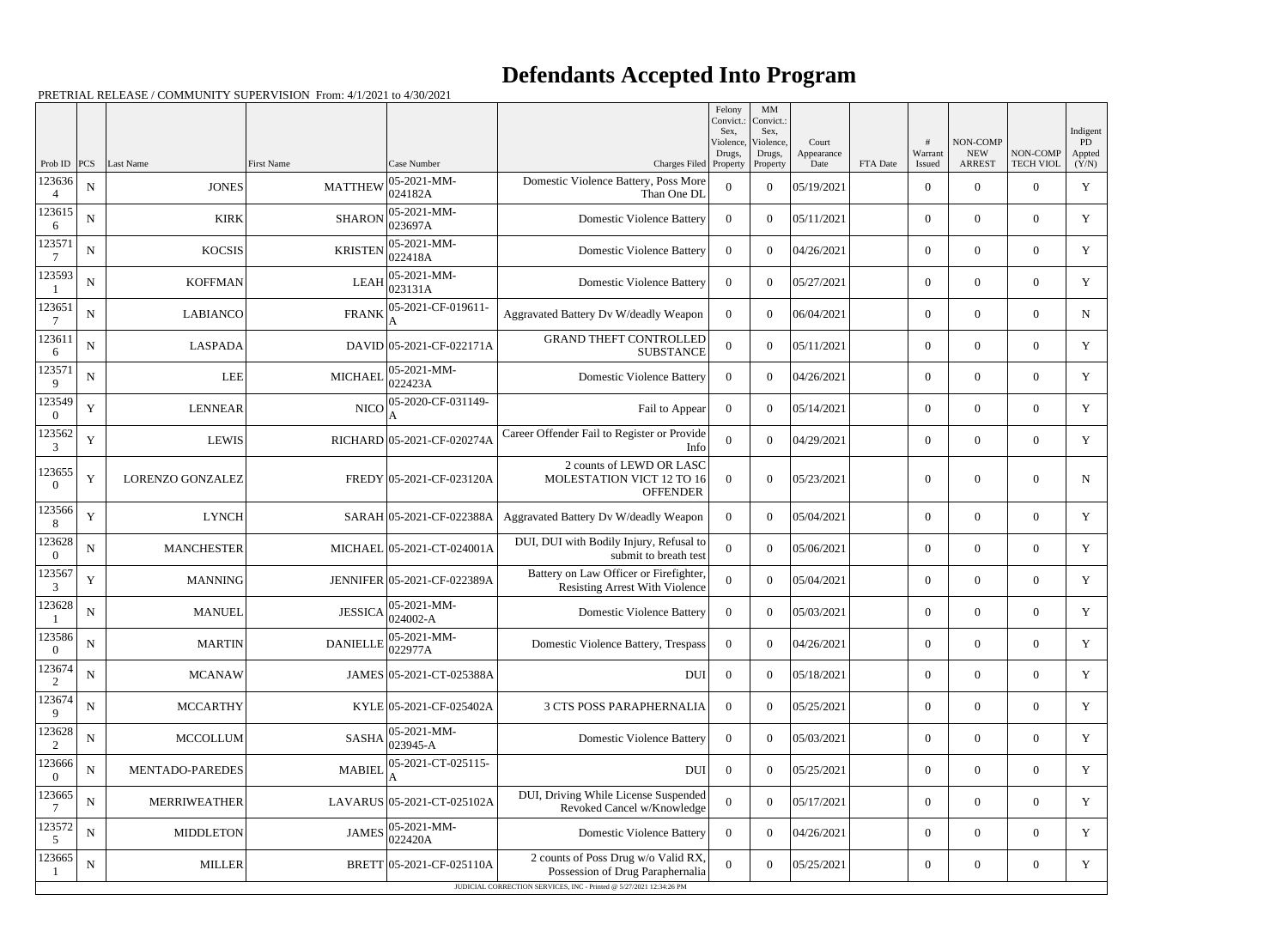|                          |             |                         |                 |                             |                                                                                 | Felony<br>Convict.:<br>Sex. | MM<br>Convict.:<br>Sex,         |                             |          |                   |                                         |                              | Indigent              |
|--------------------------|-------------|-------------------------|-----------------|-----------------------------|---------------------------------------------------------------------------------|-----------------------------|---------------------------------|-----------------------------|----------|-------------------|-----------------------------------------|------------------------------|-----------------------|
| Prob ID $ PCS $          |             | Last Name               | First Name      | Case Number                 | Charges Filed Property                                                          | Violence,<br>Drugs,         | Violence,<br>Drugs,<br>Property | Court<br>Appearance<br>Date | FTA Date | Warrant<br>Issued | NON-COMP<br><b>NEW</b><br><b>ARREST</b> | NON-COMP<br><b>TECH VIOL</b> | PD<br>Appted<br>(Y/N) |
| 123636<br>$\overline{4}$ | ${\bf N}$   | <b>JONES</b>            | <b>MATTHEW</b>  | 05-2021-MM-<br>024182A      | Domestic Violence Battery, Poss More<br>Than One DL                             | $\overline{0}$              | $\overline{0}$                  | 05/19/2021                  |          | $\overline{0}$    | $\overline{0}$                          | $\overline{0}$               | $\mathbf Y$           |
| 123615<br>6              | ${\bf N}$   | <b>KIRK</b>             | <b>SHARON</b>   | 05-2021-MM-<br>023697A      | <b>Domestic Violence Battery</b>                                                | $\overline{0}$              | $\overline{0}$                  | 05/11/2021                  |          | $\overline{0}$    | $\overline{0}$                          | $\overline{0}$               | Y                     |
| 123571<br>-7             | ${\bf N}$   | <b>KOCSIS</b>           | <b>KRISTEN</b>  | 05-2021-MM-<br>022418A      | <b>Domestic Violence Battery</b>                                                | $\overline{0}$              | $\overline{0}$                  | 04/26/2021                  |          | $\overline{0}$    | $\overline{0}$                          | $\overline{0}$               | Y                     |
| 123593                   | ${\bf N}$   | <b>KOFFMAN</b>          | <b>LEAH</b>     | 05-2021-MM-<br>023131A      | <b>Domestic Violence Battery</b>                                                | $\overline{0}$              | $\overline{0}$                  | 05/27/2021                  |          | $\overline{0}$    | $\overline{0}$                          | $\overline{0}$               | Y                     |
| 123651<br>7              | ${\bf N}$   | <b>LABIANCO</b>         | <b>FRANK</b>    | 05-2021-CF-019611-          | Aggravated Battery Dv W/deadly Weapon                                           | $\overline{0}$              | $\overline{0}$                  | 06/04/2021                  |          | $\overline{0}$    | $\overline{0}$                          | $\overline{0}$               | $\mathbf N$           |
| 123611<br>6              | ${\bf N}$   | <b>LASPADA</b>          |                 | DAVID 05-2021-CF-022171A    | <b>GRAND THEFT CONTROLLED</b><br><b>SUBSTANCE</b>                               | $\overline{0}$              | $\overline{0}$                  | 05/11/2021                  |          | $\overline{0}$    | $\overline{0}$                          | $\overline{0}$               | Y                     |
| 123571<br>9              | ${\bf N}$   | <b>LEE</b>              | <b>MICHAEL</b>  | 05-2021-MM-<br>022423A      | <b>Domestic Violence Battery</b>                                                | $\overline{0}$              | $\overline{0}$                  | 04/26/2021                  |          | $\overline{0}$    | $\overline{0}$                          | $\overline{0}$               | $\mathbf Y$           |
| 123549<br>$\Omega$       | $\mathbf Y$ | <b>LENNEAR</b>          | <b>NICO</b>     | 05-2020-CF-031149-          | Fail to Appear                                                                  | $\overline{0}$              | $\overline{0}$                  | 05/14/2021                  |          | $\overline{0}$    | $\overline{0}$                          | $\overline{0}$               | Y                     |
| 123562<br>3              | $\mathbf Y$ | <b>LEWIS</b>            |                 | RICHARD 05-2021-CF-020274A  | Career Offender Fail to Register or Provide<br>Info                             | $\boldsymbol{0}$            | $\boldsymbol{0}$                | 04/29/2021                  |          | $\overline{0}$    | $\overline{0}$                          | $\overline{0}$               | Y                     |
| 123655<br>$\Omega$       | $\mathbf Y$ | <b>LORENZO GONZALEZ</b> |                 | FREDY 05-2021-CF-023120A    | 2 counts of LEWD OR LASC<br>MOLESTATION VICT 12 TO 16<br><b>OFFENDER</b>        | $\overline{0}$              | $\overline{0}$                  | 05/23/2021                  |          | $\overline{0}$    | $\theta$                                | $\overline{0}$               | $\mathbf N$           |
| 123566<br>8              | $\mathbf Y$ | <b>LYNCH</b>            |                 | SARAH 05-2021-CF-022388A    | Aggravated Battery Dv W/deadly Weapon                                           | $\overline{0}$              | $\overline{0}$                  | 05/04/2021                  |          | $\overline{0}$    | $\overline{0}$                          | $\overline{0}$               | $\mathbf Y$           |
| 123628<br>$\Omega$       | ${\bf N}$   | <b>MANCHESTER</b>       |                 | MICHAEL 05-2021-CT-024001A  | DUI, DUI with Bodily Injury, Refusal to<br>submit to breath test                | $\mathbf{0}$                | $\overline{0}$                  | 05/06/2021                  |          | $\overline{0}$    | $\overline{0}$                          | $\overline{0}$               | Y                     |
| 123567<br>3              | $\mathbf Y$ | <b>MANNING</b>          |                 | JENNIFER 05-2021-CF-022389A | Battery on Law Officer or Firefighter,<br><b>Resisting Arrest With Violence</b> | $\boldsymbol{0}$            | $\boldsymbol{0}$                | 05/04/2021                  |          | $\overline{0}$    | $\overline{0}$                          | $\overline{0}$               | Y                     |
| 123628                   | $\mathbf N$ | <b>MANUEL</b>           | <b>JESSICA</b>  | 05-2021-MM-<br>024002-A     | <b>Domestic Violence Battery</b>                                                | $\overline{0}$              | $\overline{0}$                  | 05/03/2021                  |          | $\overline{0}$    | $\overline{0}$                          | $\overline{0}$               | Y                     |
| 123586<br>$\overline{0}$ | ${\bf N}$   | <b>MARTIN</b>           | <b>DANIELLE</b> | 05-2021-MM-<br>022977A      | Domestic Violence Battery, Trespass                                             | $\overline{0}$              | $\overline{0}$                  | 04/26/2021                  |          | $\boldsymbol{0}$  | $\overline{0}$                          | $\overline{0}$               | Y                     |
| 123674<br>2              | $\mathbf N$ | <b>MCANAW</b>           |                 | JAMES 05-2021-CT-025388A    | DUI                                                                             | $\overline{0}$              | $\boldsymbol{0}$                | 05/18/2021                  |          | $\overline{0}$    | $\overline{0}$                          | $\overline{0}$               | Y                     |
| 123674<br>9              | ${\bf N}$   | <b>MCCARTHY</b>         |                 | KYLE 05-2021-CF-025402A     | <b>3 CTS POSS PARAPHERNALIA</b>                                                 | $\overline{0}$              | $\boldsymbol{0}$                | 05/25/2021                  |          | $\overline{0}$    | $\overline{0}$                          | $\overline{0}$               | Y                     |
| 123628<br>2              | ${\bf N}$   | <b>MCCOLLUM</b>         | <b>SASHA</b>    | 05-2021-MM-<br>023945-A     | <b>Domestic Violence Battery</b>                                                | $\overline{0}$              | $\overline{0}$                  | 05/03/2021                  |          | $\overline{0}$    | $\overline{0}$                          | $\overline{0}$               | Y                     |
| 123666<br>$\overline{0}$ | ${\bf N}$   | MENTADO-PAREDES         | <b>MABIEI</b>   | 05-2021-CT-025115-          | DUI                                                                             | $\overline{0}$              | $\overline{0}$                  | 05/25/2021                  |          | $\overline{0}$    | $\overline{0}$                          | $\overline{0}$               | Y                     |
| 123665                   | ${\bf N}$   | <b>MERRIWEATHER</b>     |                 | LAVARUS 05-2021-CT-025102A  | DUI, Driving While License Suspended<br>Revoked Cancel w/Knowledge              | $\theta$                    | $\boldsymbol{0}$                | 05/17/2021                  |          | $\overline{0}$    | $\overline{0}$                          | $\overline{0}$               | Y                     |
| 123572<br>5              | ${\bf N}$   | <b>MIDDLETON</b>        | <b>JAMES</b>    | 05-2021-MM-<br>022420A      | <b>Domestic Violence Battery</b>                                                | $\overline{0}$              | $\boldsymbol{0}$                | 04/26/2021                  |          | $\overline{0}$    | $\overline{0}$                          | $\overline{0}$               | Y                     |
| 123665                   | ${\bf N}$   | <b>MILLER</b>           |                 | BRETT 05-2021-CF-025110A    | 2 counts of Poss Drug w/o Valid RX,<br>Possession of Drug Paraphernalia         | $\overline{0}$              | $\mathbf{0}$                    | 05/25/2021                  |          | $\boldsymbol{0}$  | $\mathbf{0}$                            | $\boldsymbol{0}$             | Y                     |
|                          |             |                         |                 |                             | JUDICIAL CORRECTION SERVICES, INC - Printed @ 5/27/2021 12:34:26 PM             |                             |                                 |                             |          |                   |                                         |                              |                       |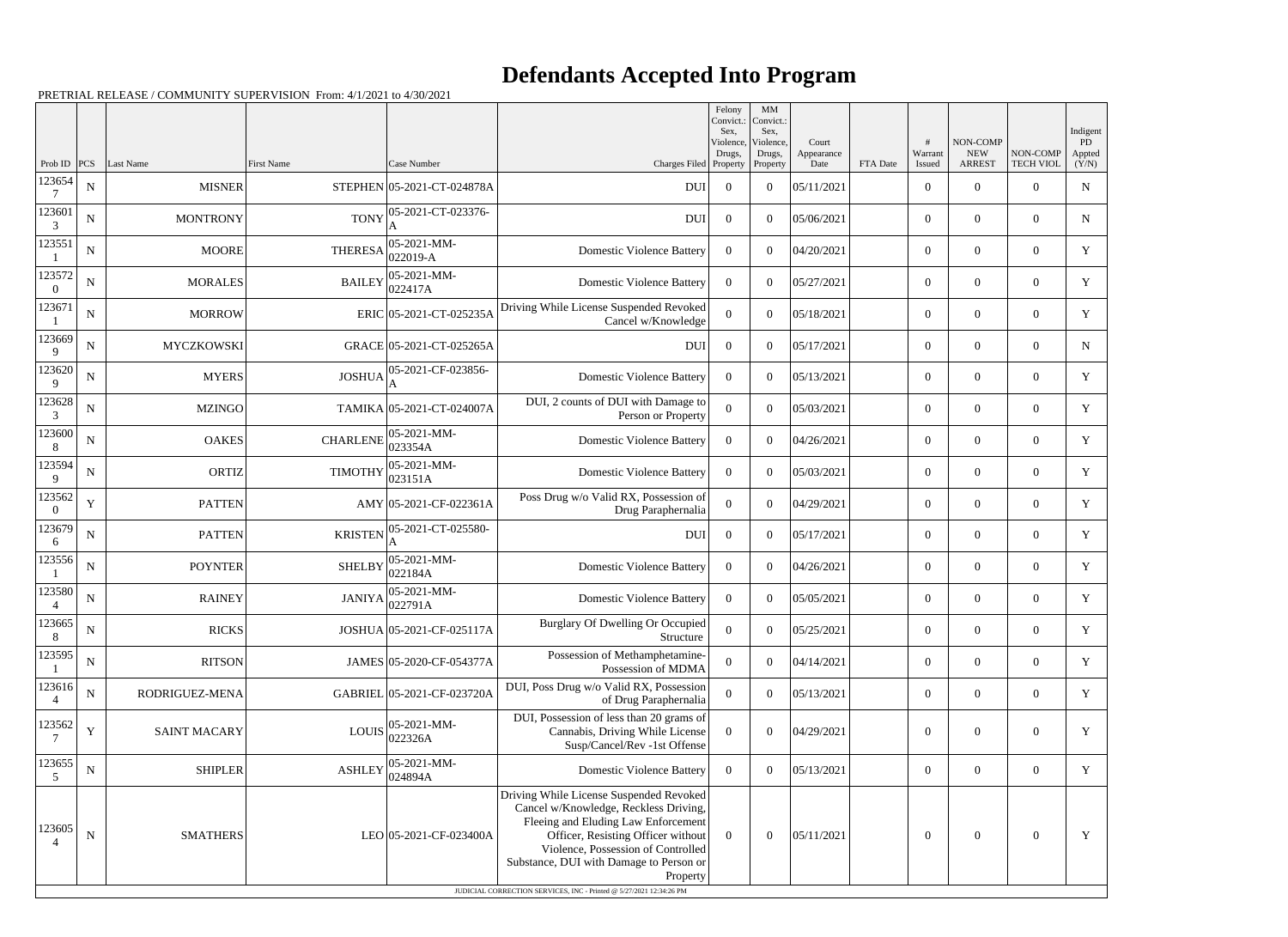|                           |             |                            |                   |                                           |                                                                                                                                                                                                                                                                                                                                   | Felony<br>Convict.:<br>Sex. | MM<br>Convict.:<br>Sex,    |                     |          |                          |                           |                                    | Indigent           |
|---------------------------|-------------|----------------------------|-------------------|-------------------------------------------|-----------------------------------------------------------------------------------------------------------------------------------------------------------------------------------------------------------------------------------------------------------------------------------------------------------------------------------|-----------------------------|----------------------------|---------------------|----------|--------------------------|---------------------------|------------------------------------|--------------------|
|                           |             |                            |                   |                                           |                                                                                                                                                                                                                                                                                                                                   | Violence,<br>Drugs,         | Violence,<br>Drugs,        | Court<br>Appearance |          | Warrant                  | NON-COMP<br><b>NEW</b>    | NON-COMP                           | PD<br>Appted       |
| Prob ID $ PCS $<br>123654 | ${\bf N}$   | Last Name<br><b>MISNER</b> | <b>First Name</b> | Case Number<br>STEPHEN 05-2021-CT-024878A | Charges Filed Property<br><b>DUI</b>                                                                                                                                                                                                                                                                                              | $\overline{0}$              | Property<br>$\overline{0}$ | Date<br>05/11/2021  | FTA Date | Issued<br>$\overline{0}$ | <b>ARREST</b><br>$\theta$ | <b>TECH VIOL</b><br>$\overline{0}$ | (Y/N)<br>${\bf N}$ |
| 123601                    |             |                            | <b>TONY</b>       | 05-2021-CT-023376-                        |                                                                                                                                                                                                                                                                                                                                   |                             |                            |                     |          |                          |                           |                                    |                    |
| 3<br>123551               | ${\bf N}$   | <b>MONTRONY</b>            |                   | 05-2021-MM-                               | <b>DUI</b>                                                                                                                                                                                                                                                                                                                        | $\overline{0}$              | $\theta$                   | 05/06/2021          |          | $\overline{0}$           | $\Omega$                  | $\overline{0}$                     | $\mathbf N$        |
|                           | ${\bf N}$   | <b>MOORE</b>               | <b>THERESA</b>    | 022019-A                                  | <b>Domestic Violence Battery</b>                                                                                                                                                                                                                                                                                                  | $\overline{0}$              | $\theta$                   | 04/20/2021          |          | $\theta$                 | $\theta$                  | $\overline{0}$                     | Y                  |
| 123572<br>$\Omega$        | ${\bf N}$   | <b>MORALES</b>             | <b>BAILEY</b>     | 05-2021-MM-<br>022417A                    | <b>Domestic Violence Battery</b>                                                                                                                                                                                                                                                                                                  | $\Omega$                    | $\theta$                   | 05/27/2021          |          | $\theta$                 | $\overline{0}$            | $\overline{0}$                     | Y                  |
| 123671                    | ${\bf N}$   | <b>MORROW</b>              |                   | ERIC 05-2021-CT-025235A                   | Driving While License Suspended Revoked<br>Cancel w/Knowledge                                                                                                                                                                                                                                                                     | $\theta$                    | $\theta$                   | 05/18/2021          |          | $\theta$                 | $\theta$                  | $\Omega$                           | Y                  |
| 123669<br>9               | $\mathbf N$ | <b>MYCZKOWSKI</b>          |                   | GRACE 05-2021-CT-025265A                  | <b>DUI</b>                                                                                                                                                                                                                                                                                                                        | $\overline{0}$              | $\theta$                   | 05/17/2021          |          | $\overline{0}$           | $\overline{0}$            | $\overline{0}$                     | $\mathbf N$        |
| 123620<br>9               | $\mathbf N$ | <b>MYERS</b>               | <b>JOSHUA</b>     | 05-2021-CF-023856-                        | <b>Domestic Violence Battery</b>                                                                                                                                                                                                                                                                                                  | $\overline{0}$              | $\theta$                   | 05/13/2021          |          | $\theta$                 | $\theta$                  | $\overline{0}$                     | Y                  |
| 123628<br>3               | $\mathbf N$ | <b>MZINGO</b>              |                   | TAMIKA 05-2021-CT-024007A                 | DUI, 2 counts of DUI with Damage to<br>Person or Property                                                                                                                                                                                                                                                                         | $\boldsymbol{0}$            | $\theta$                   | 05/03/2021          |          | $\theta$                 | $\overline{0}$            | $\overline{0}$                     | Y                  |
| 123600<br>8               | $\mathbf N$ | <b>OAKES</b>               | <b>CHARLENE</b>   | 05-2021-MM-<br>023354A                    | <b>Domestic Violence Battery</b>                                                                                                                                                                                                                                                                                                  | $\theta$                    | $\theta$                   | 04/26/2021          |          | $\overline{0}$           | $\theta$                  | $\Omega$                           | Y                  |
| 123594<br>9               | $\mathbf N$ | <b>ORTIZ</b>               | <b>TIMOTHY</b>    | 05-2021-MM-<br>023151A                    | <b>Domestic Violence Battery</b>                                                                                                                                                                                                                                                                                                  | $\Omega$                    | $\theta$                   | 05/03/2021          |          | $\overline{0}$           | $\overline{0}$            | $\overline{0}$                     | Y                  |
| 123562<br>$\overline{0}$  | $\mathbf Y$ | <b>PATTEN</b>              |                   | AMY 05-2021-CF-022361A                    | Poss Drug w/o Valid RX, Possession of<br>Drug Paraphernalia                                                                                                                                                                                                                                                                       | $\overline{0}$              | $\theta$                   | 04/29/2021          |          | $\theta$                 | $\theta$                  | $\overline{0}$                     | Y                  |
| 123679<br>6               | ${\bf N}$   | <b>PATTEN</b>              | <b>KRISTEN</b>    | 05-2021-CT-025580-                        | <b>DUI</b>                                                                                                                                                                                                                                                                                                                        | $\overline{0}$              | $\overline{0}$             | 05/17/2021          |          | $\theta$                 | $\overline{0}$            | $\overline{0}$                     | Y                  |
| 123556                    | $\mathbf N$ | <b>POYNTER</b>             | <b>SHELBY</b>     | 05-2021-MM-<br>022184A                    | <b>Domestic Violence Battery</b>                                                                                                                                                                                                                                                                                                  | $\overline{0}$              | $\Omega$                   | 04/26/2021          |          | $\overline{0}$           | $\Omega$                  | $\overline{0}$                     | Y                  |
| 123580                    | $\mathbf N$ | <b>RAINEY</b>              | <b>JANIYA</b>     | 05-2021-MM-<br>022791A                    | <b>Domestic Violence Battery</b>                                                                                                                                                                                                                                                                                                  | $\Omega$                    | $\theta$                   | 05/05/2021          |          | $\overline{0}$           | $\overline{0}$            | $\overline{0}$                     | Y                  |
| 123665<br>$8\,$           | ${\bf N}$   | <b>RICKS</b>               |                   | JOSHUA 05-2021-CF-025117A                 | Burglary Of Dwelling Or Occupied<br>Structure                                                                                                                                                                                                                                                                                     | $\boldsymbol{0}$            | $\overline{0}$             | 05/25/2021          |          | $\mathbf{0}$             | $\overline{0}$            | $\mathbf{0}$                       | Y                  |
| 123595                    | ${\bf N}$   | <b>RITSON</b>              |                   | JAMES 05-2020-CF-054377A                  | Possession of Methamphetamine-<br>Possession of MDMA                                                                                                                                                                                                                                                                              | $\boldsymbol{0}$            | $\boldsymbol{0}$           | 04/14/2021          |          | $\overline{0}$           | $\boldsymbol{0}$          | $\boldsymbol{0}$                   | Y                  |
| 123616<br>$\overline{4}$  | ${\bf N}$   | RODRIGUEZ-MENA             |                   | GABRIEL 05-2021-CF-023720A                | DUI, Poss Drug w/o Valid RX, Possession<br>of Drug Paraphernalia                                                                                                                                                                                                                                                                  | $\overline{0}$              | $\boldsymbol{0}$           | 05/13/2021          |          | $\overline{0}$           | $\overline{0}$            | $\overline{0}$                     | Y                  |
| 123562                    | Y           | <b>SAINT MACARY</b>        | <b>LOUIS</b>      | 05-2021-MM-<br>022326A                    | DUI, Possession of less than 20 grams of<br>Cannabis, Driving While License<br>Susp/Cancel/Rev -1st Offense                                                                                                                                                                                                                       | $\overline{0}$              | $\boldsymbol{0}$           | 04/29/2021          |          | $\overline{0}$           | $\boldsymbol{0}$          | $\boldsymbol{0}$                   | Y                  |
| 123655<br>5               | ${\bf N}$   | <b>SHIPLER</b>             | <b>ASHLEY</b>     | 05-2021-MM-<br>024894A                    | <b>Domestic Violence Battery</b>                                                                                                                                                                                                                                                                                                  | $\overline{0}$              | $\overline{0}$             | 05/13/2021          |          | $\overline{0}$           | $\overline{0}$            | $\overline{0}$                     | Y                  |
| 123605<br>$\overline{4}$  | ${\bf N}$   | <b>SMATHERS</b>            |                   | LEO 05-2021-CF-023400A                    | Driving While License Suspended Revoked<br>Cancel w/Knowledge, Reckless Driving,<br>Fleeing and Eluding Law Enforcement<br>Officer, Resisting Officer without<br>Violence, Possession of Controlled<br>Substance, DUI with Damage to Person or<br>Property<br>JUDICIAL CORRECTION SERVICES, INC - Printed @ 5/27/2021 12:34:26 PM | $\boldsymbol{0}$            | $\overline{0}$             | 05/11/2021          |          | $\boldsymbol{0}$         | $\boldsymbol{0}$          | $\boldsymbol{0}$                   | Y                  |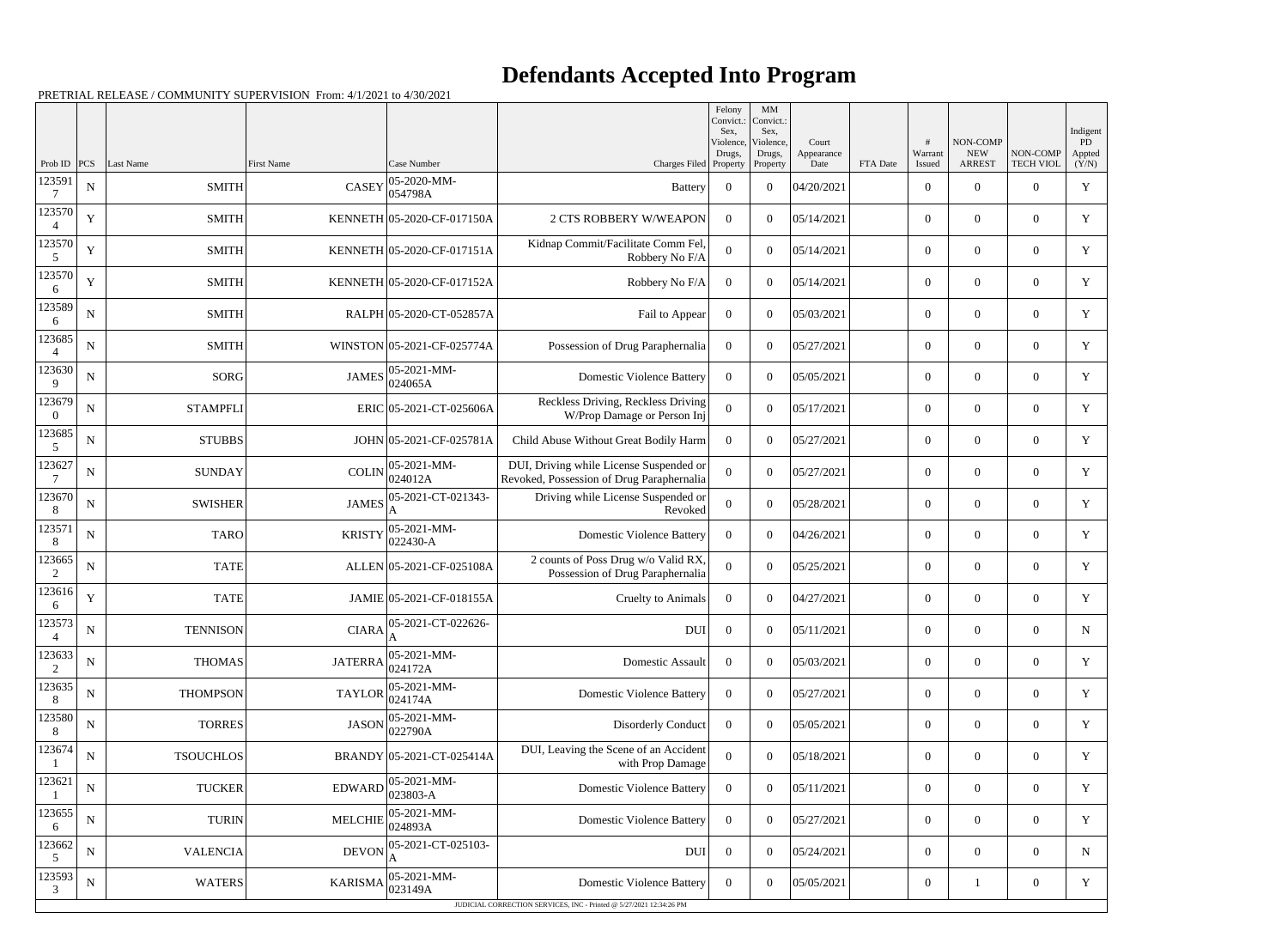|                          |             |                      |                |                              |                                                                                      | Felony<br>Convict.:<br>Sex. | MM<br>Convict.<br>Sex,          |                             |          |                   |                                         |                              | Indigent              |
|--------------------------|-------------|----------------------|----------------|------------------------------|--------------------------------------------------------------------------------------|-----------------------------|---------------------------------|-----------------------------|----------|-------------------|-----------------------------------------|------------------------------|-----------------------|
| Prob ID                  |             | <b>PCS</b> Last Name | First Name     | Case Number                  | Charges Filed Property                                                               | Violence,<br>Drugs,         | Violence,<br>Drugs,<br>Property | Court<br>Appearance<br>Date | FTA Date | Warrant<br>Issued | NON-COMP<br><b>NEW</b><br><b>ARREST</b> | NON-COMP<br><b>TECH VIOL</b> | PD<br>Appted<br>(Y/N) |
| 123591                   | ${\bf N}$   | <b>SMITH</b>         | <b>CASEY</b>   | 05-2020-MM-<br>054798A       | <b>Battery</b>                                                                       | $\overline{0}$              | $\theta$                        | 04/20/2021                  |          | $\overline{0}$    | $\overline{0}$                          | $\overline{0}$               | $\mathbf Y$           |
| 123570                   | Y           | <b>SMITH</b>         |                | KENNETH 05-2020-CF-017150A   | <b>2 CTS ROBBERY W/WEAPON</b>                                                        | $\Omega$                    | $\theta$                        | 05/14/2021                  |          | $\overline{0}$    | $\theta$                                | $\overline{0}$               | Y                     |
| 123570<br>5              | $\mathbf Y$ | <b>SMITH</b>         |                | KENNETH 05-2020-CF-017151A   | Kidnap Commit/Facilitate Comm Fel,<br>Robbery No F/A                                 | $\Omega$                    | $\theta$                        | 05/14/2021                  |          | $\overline{0}$    | $\overline{0}$                          | $\overline{0}$               | $\mathbf Y$           |
| 123570<br>6              | $\mathbf Y$ | <b>SMITH</b>         |                | KENNETH 05-2020-CF-017152A   | Robbery No F/A                                                                       | $\Omega$                    | $\theta$                        | 05/14/2021                  |          | $\overline{0}$    | $\overline{0}$                          | $\overline{0}$               | Y                     |
| 123589<br>6              | ${\bf N}$   | <b>SMITH</b>         |                | RALPH 05-2020-CT-052857A     | Fail to Appear                                                                       | $\overline{0}$              | $\theta$                        | 05/03/2021                  |          | $\overline{0}$    | $\theta$                                | $\overline{0}$               | Y                     |
| 123685                   | ${\bf N}$   | <b>SMITH</b>         |                | WINSTON 05-2021-CF-025774A   | Possession of Drug Paraphernalia                                                     | $\Omega$                    | $\theta$                        | 05/27/2021                  |          | $\overline{0}$    | $\overline{0}$                          | $\overline{0}$               | Y                     |
| 123630<br>9              | $\mathbf N$ | <b>SORG</b>          | <b>JAMES</b>   | 05-2021-MM-<br>024065A       | <b>Domestic Violence Battery</b>                                                     | $\overline{0}$              | $\theta$                        | 05/05/2021                  |          | $\overline{0}$    | $\overline{0}$                          | $\overline{0}$               | Y                     |
| 123679<br>$\Omega$       | ${\bf N}$   | <b>STAMPFLI</b>      |                | ERIC 05-2021-CT-025606A      | Reckless Driving, Reckless Driving<br>W/Prop Damage or Person Inj                    | $\Omega$                    | $\overline{0}$                  | 05/17/2021                  |          | $\overline{0}$    | $\overline{0}$                          | $\overline{0}$               | Y                     |
| 123685<br>5              | ${\bf N}$   | <b>STUBBS</b>        |                | JOHN 05-2021-CF-025781A      | Child Abuse Without Great Bodily Harm                                                | $\theta$                    | $\theta$                        | 05/27/2021                  |          | $\overline{0}$    | $\overline{0}$                          | $\overline{0}$               | $\mathbf Y$           |
| 123627                   | N           | <b>SUNDAY</b>        | <b>COLIN</b>   | 05-2021-MM-<br>024012A       | DUI, Driving while License Suspended or<br>Revoked, Possession of Drug Paraphernalia | 0                           | $\theta$                        | 05/27/2021                  |          | $\overline{0}$    | $\overline{0}$                          | $\overline{0}$               | Y                     |
| 123670<br>8              | ${\bf N}$   | <b>SWISHER</b>       | <b>JAMES</b>   | 05-2021-CT-021343-<br>А      | Driving while License Suspended or<br>Revoked                                        | $\Omega$                    | $\theta$                        | 05/28/2021                  |          | $\overline{0}$    | $\overline{0}$                          | $\overline{0}$               | Y                     |
| 123571<br>8              | ${\bf N}$   | <b>TARO</b>          | <b>KRISTY</b>  | 05-2021-MM-<br>$ 022430 - A$ | <b>Domestic Violence Battery</b>                                                     | $\Omega$                    | $\theta$                        | 04/26/2021                  |          | $\overline{0}$    | $\boldsymbol{0}$                        | $\overline{0}$               | Y                     |
| 123665<br>2              | ${\bf N}$   | <b>TATE</b>          |                | ALLEN 05-2021-CF-025108A     | 2 counts of Poss Drug w/o Valid RX,<br>Possession of Drug Paraphernalia              | $\Omega$                    | $\theta$                        | 05/25/2021                  |          | $\overline{0}$    | $\overline{0}$                          | $\overline{0}$               | Y                     |
| 123616<br>6              | $\mathbf Y$ | <b>TATE</b>          |                | JAMIE 05-2021-CF-018155A     | Cruelty to Animals                                                                   | $\overline{0}$              | $\theta$                        | 04/27/2021                  |          | $\overline{0}$    | $\overline{0}$                          | $\overline{0}$               | Y                     |
| 123573<br>$\overline{4}$ | ${\bf N}$   | <b>TENNISON</b>      |                |                              | <b>DUI</b>                                                                           | $\overline{0}$              | $\overline{0}$                  | 05/11/2021                  |          | $\boldsymbol{0}$  | $\boldsymbol{0}$                        | $\overline{0}$               | N                     |
| 123633<br>2              | ${\bf N}$   | <b>THOMAS</b>        | <b>JATERRA</b> | 05-2021-MM-<br>024172A       | <b>Domestic Assault</b>                                                              | $\bf{0}$                    | $\overline{0}$                  | 05/03/2021                  |          | $\boldsymbol{0}$  | $\boldsymbol{0}$                        | $\boldsymbol{0}$             | Y                     |
| 123635<br>8              | ${\bf N}$   | <b>THOMPSON</b>      | <b>TAYLOR</b>  | 05-2021-MM-<br>024174A       | <b>Domestic Violence Battery</b>                                                     | $\overline{0}$              | $\overline{0}$                  | 05/27/2021                  |          | $\boldsymbol{0}$  | $\overline{0}$                          | $\overline{0}$               | Y                     |
| 123580<br>8              | ${\bf N}$   | <b>TORRES</b>        | <b>JASON</b>   | 05-2021-MM-<br>022790A       | Disorderly Conduct                                                                   | $\overline{0}$              | $\overline{0}$                  | 05/05/2021                  |          | $\overline{0}$    | $\mathbf{0}$                            | $\overline{0}$               | Y                     |
| 123674                   | ${\bf N}$   | <b>TSOUCHLOS</b>     |                | BRANDY 05-2021-CT-025414A    | DUI, Leaving the Scene of an Accident<br>with Prop Damage                            | $\overline{0}$              | $\overline{0}$                  | 05/18/2021                  |          | $\overline{0}$    | $\overline{0}$                          | $\overline{0}$               | Y                     |
| 123621                   | ${\bf N}$   | <b>TUCKER</b>        | EDWARD         | 05-2021-MM-<br>$ 023803-A$   | <b>Domestic Violence Battery</b>                                                     | $\overline{0}$              | $\overline{0}$                  | 05/11/2021                  |          | $\overline{0}$    | $\boldsymbol{0}$                        | $\boldsymbol{0}$             | Y                     |
| 123655<br>6              | ${\bf N}$   | <b>TURIN</b>         | <b>MELCHIE</b> | 05-2021-MM-<br>024893A       | <b>Domestic Violence Battery</b>                                                     | $\overline{0}$              | $\overline{0}$                  | 05/27/2021                  |          | $\boldsymbol{0}$  | $\overline{0}$                          | $\overline{0}$               | Y                     |
| 123662<br>5              | ${\bf N}$   | <b>VALENCIA</b>      | <b>DEVON</b>   | 05-2021-CT-025103-           | <b>DUI</b>                                                                           | $\overline{0}$              | $\overline{0}$                  | 05/24/2021                  |          | $\overline{0}$    | $\overline{0}$                          | $\boldsymbol{0}$             | $\mathbf N$           |
| 123593<br>3              | ${\bf N}$   | <b>WATERS</b>        | <b>KARISMA</b> | 05-2021-MM-<br>023149A       | <b>Domestic Violence Battery</b>                                                     | $\overline{0}$              | $\overline{0}$                  | 05/05/2021                  |          | $\boldsymbol{0}$  |                                         | $\boldsymbol{0}$             | Y                     |
|                          |             |                      |                |                              | JUDICIAL CORRECTION SERVICES, INC - Printed @ 5/27/2021 12:34:26 PM                  |                             |                                 |                             |          |                   |                                         |                              |                       |